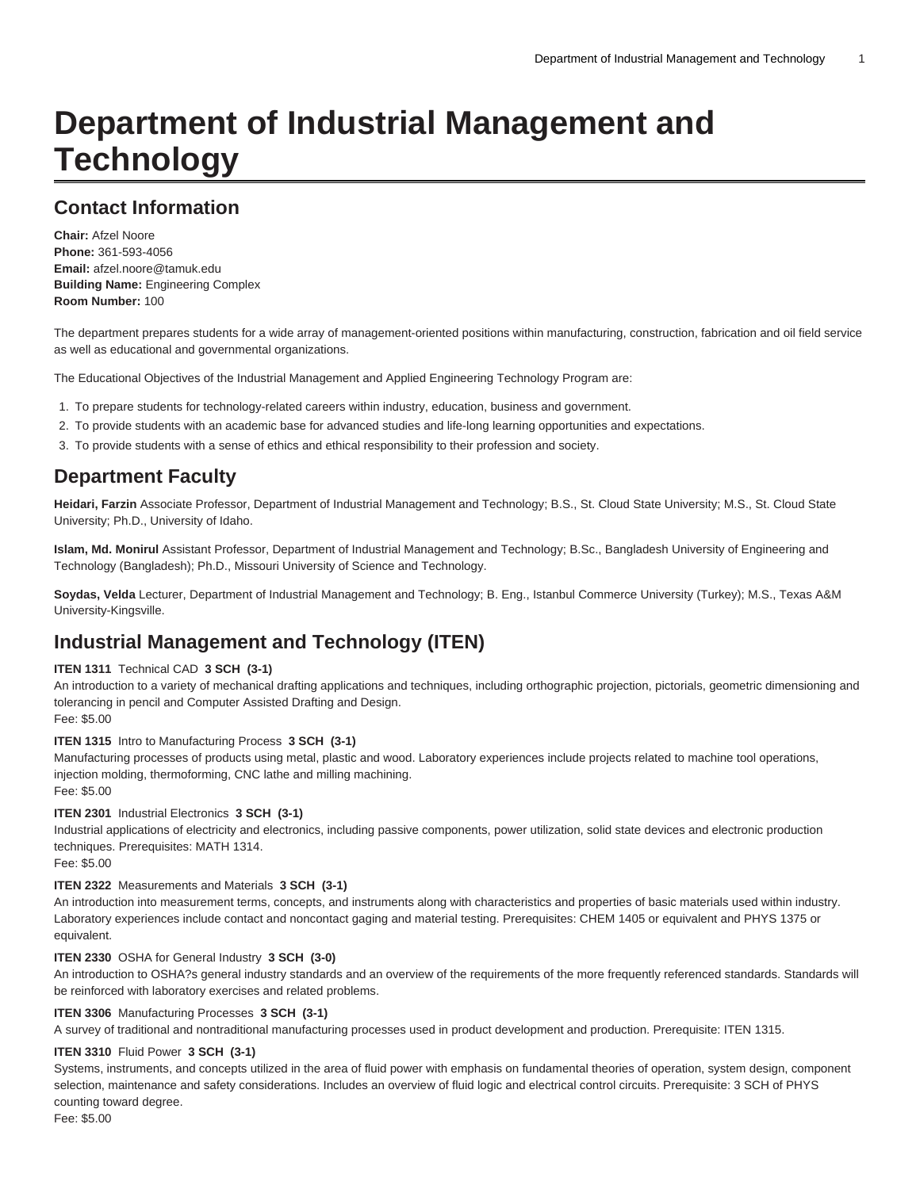# **Department of Industrial Management and Technology**

## **Contact Information**

**Chair:** Afzel Noore **Phone:** 361-593-4056 **Email:** [afzel.noore@tamuk.edu](mailto:afzel.noore@tamuk.edu) **Building Name:** Engineering Complex **Room Number:** 100

The department prepares students for a wide array of management-oriented positions within manufacturing, construction, fabrication and oil field service as well as educational and governmental organizations.

The Educational Objectives of the Industrial Management and Applied Engineering Technology Program are:

- 1. To prepare students for technology-related careers within industry, education, business and government.
- 2. To provide students with an academic base for advanced studies and life-long learning opportunities and expectations.
- 3. To provide students with a sense of ethics and ethical responsibility to their profession and society.

## **Department Faculty**

**Heidari, Farzin** Associate Professor, Department of Industrial Management and Technology; B.S., St. Cloud State University; M.S., St. Cloud State University; Ph.D., University of Idaho.

**Islam, Md. Monirul** Assistant Professor, Department of Industrial Management and Technology; B.Sc., Bangladesh University of Engineering and Technology (Bangladesh); Ph.D., Missouri University of Science and Technology.

**Soydas, Velda** Lecturer, Department of Industrial Management and Technology; B. Eng., Istanbul Commerce University (Turkey); M.S., Texas A&M University-Kingsville.

# **Industrial Management and Technology (ITEN)**

#### **ITEN 1311** Technical CAD **3 SCH (3-1)**

An introduction to a variety of mechanical drafting applications and techniques, including orthographic projection, pictorials, geometric dimensioning and tolerancing in pencil and Computer Assisted Drafting and Design. Fee: \$5.00

#### **ITEN 1315** Intro to Manufacturing Process **3 SCH (3-1)**

Manufacturing processes of products using metal, plastic and wood. Laboratory experiences include projects related to machine tool operations, injection molding, thermoforming, CNC lathe and milling machining. Fee: \$5.00

#### **ITEN 2301** Industrial Electronics **3 SCH (3-1)**

Industrial applications of electricity and electronics, including passive components, power utilization, solid state devices and electronic production techniques. Prerequisites: MATH 1314.

Fee: \$5.00

#### **ITEN 2322** Measurements and Materials **3 SCH (3-1)**

An introduction into measurement terms, concepts, and instruments along with characteristics and properties of basic materials used within industry. Laboratory experiences include contact and noncontact gaging and material testing. Prerequisites: CHEM 1405 or equivalent and PHYS 1375 or equivalent.

#### **ITEN 2330** OSHA for General Industry **3 SCH (3-0)**

An introduction to OSHA?s general industry standards and an overview of the requirements of the more frequently referenced standards. Standards will be reinforced with laboratory exercises and related problems.

#### **ITEN 3306** Manufacturing Processes **3 SCH (3-1)**

A survey of traditional and nontraditional manufacturing processes used in product development and production. Prerequisite: ITEN 1315.

#### **ITEN 3310** Fluid Power **3 SCH (3-1)**

Systems, instruments, and concepts utilized in the area of fluid power with emphasis on fundamental theories of operation, system design, component selection, maintenance and safety considerations. Includes an overview of fluid logic and electrical control circuits. Prerequisite: 3 SCH of PHYS counting toward degree.

Fee: \$5.00